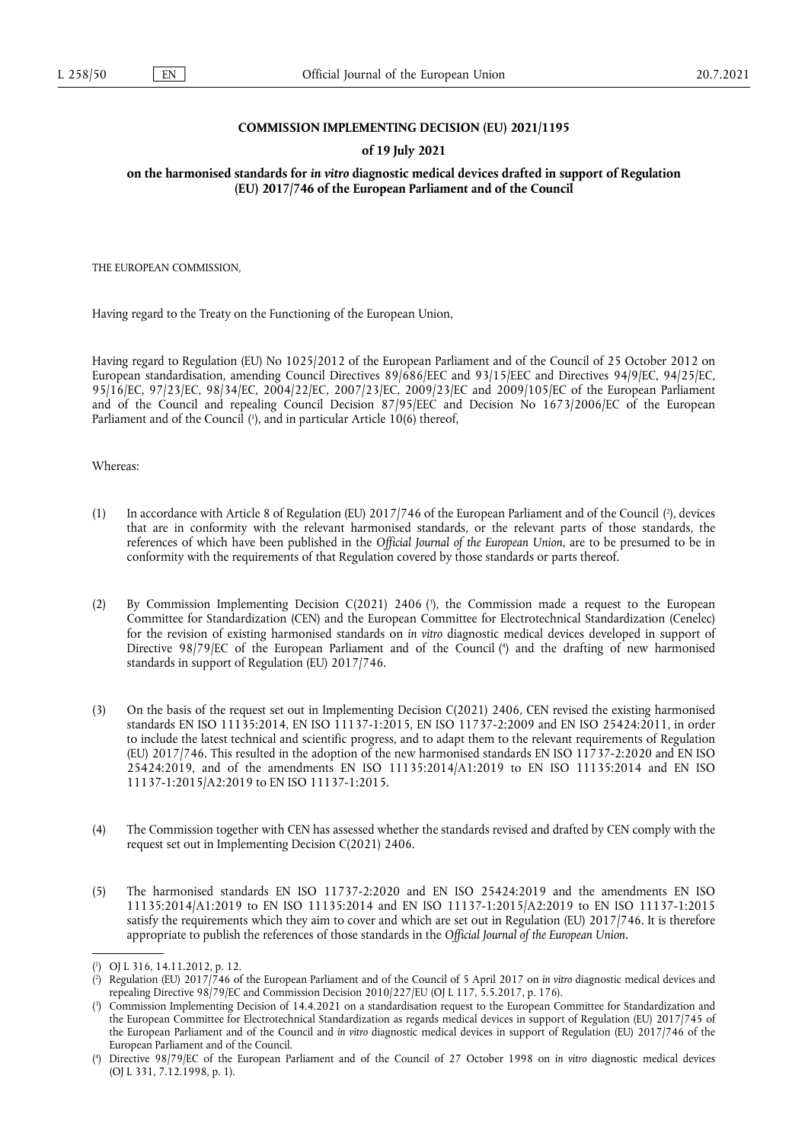### **COMMISSION IMPLEMENTING DECISION (EU) 2021/1195**

#### **of 19 July 2021**

**on the harmonised standards for** *in vitro* **diagnostic medical devices drafted in support of Regulation (EU) 2017/746 of the European Parliament and of the Council** 

THE EUROPEAN COMMISSION,

Having regard to the Treaty on the Functioning of the European Union,

<span id="page-0-4"></span>Having regard to Regulation (EU) No 1025/2012 of the European Parliament and of the Council of 25 October 2012 on European standardisation, amending Council Directives 89/686/EEC and 93/15/EEC and Directives 94/9/EC, 94/25/EC, 95/16/EC, 97/23/EC, 98/34/EC, 2004/22/EC, 2007/23/EC, 2009/23/EC and 2009/105/EC of the European Parliament and of the Council and repealing Council Decision 87/95/EEC and Decision No 1673/2006/EC of the European Parliament and of the Council [\(](#page-0-0)'), and in particular Article 10(6) thereof,

Whereas:

- <span id="page-0-5"></span>(1) In accordance with Article 8 of Regulation (EU) 2017/746 of the European Parliament and of the Council [\(](#page-0-1) 2 ), devices that are in conformity with the relevant harmonised standards, or the relevant parts of those standards, the references of which have been published in the *Official Journal of the European Union*, are to be presumed to be in conformity with the requirements of that Regulation covered by those standards or parts thereof.
- <span id="page-0-7"></span><span id="page-0-6"></span>(2) By Commission Implementing Decision C(2021) 2406 ( 3 [\),](#page-0-2) the Commission made a request to the European Committee for Standardization (CEN) and the European Committee for Electrotechnical Standardization (Cenelec) for the revision of existing harmonised standards on *in vitro* diagnostic medical devices developed in support of Directive 98/79/EC of the European Parliament and of the Council [\(](#page-0-3) 4 ) and the drafting of new harmonised standards in support of Regulation (EU) 2017/746.
- (3) On the basis of the request set out in Implementing Decision C(2021) 2406, CEN revised the existing harmonised standards EN ISO 11135:2014, EN ISO 11137-1:2015, EN ISO 11737-2:2009 and EN ISO 25424:2011, in order to include the latest technical and scientific progress, and to adapt them to the relevant requirements of Regulation (EU) 2017/746. This resulted in the adoption of the new harmonised standards EN ISO 11737-2:2020 and EN ISO 25424:2019, and of the amendments EN ISO 11135:2014/A1:2019 to EN ISO 11135:2014 and EN ISO 11137-1:2015/A2:2019 to EN ISO 11137-1:2015.
- (4) The Commission together with CEN has assessed whether the standards revised and drafted by CEN comply with the request set out in Implementing Decision C(2021) 2406.
- (5) The harmonised standards EN ISO 11737-2:2020 and EN ISO 25424:2019 and the amendments EN ISO 11135:2014/A1:2019 to EN ISO 11135:2014 and EN ISO 11137-1:2015/A2:2019 to EN ISO 11137-1:2015 satisfy the requirements which they aim to cover and which are set out in Regulation (EU) 2017/746. It is therefore appropriate to publish the references of those standards in the *Official Journal of the European Union*.

<span id="page-0-0"></span>[<sup>\(</sup>](#page-0-4) 1 ) OJ L 316, 14.11.2012, p. 12.

<span id="page-0-1"></span>[<sup>\(</sup>](#page-0-5) 2 ) Regulation (EU) 2017/746 of the European Parliament and of the Council of 5 April 2017 on *in vitro* diagnostic medical devices and repealing Directive 98/79/EC and Commission Decision 2010/227/EU (OJ L 117, 5.5.2017, p. 176).

<span id="page-0-2"></span>[<sup>\(</sup>](#page-0-6) 3 ) Commission Implementing Decision of 14.4.2021 on a standardisation request to the European Committee for Standardization and the European Committee for Electrotechnical Standardization as regards medical devices in support of Regulation (EU) 2017/745 of the European Parliament and of the Council and *in vitro* diagnostic medical devices in support of Regulation (EU) 2017/746 of the European Parliament and of the Council.

<span id="page-0-3"></span>[<sup>\(</sup>](#page-0-7) 4 ) Directive 98/79/EC of the European Parliament and of the Council of 27 October 1998 on *in vitro* diagnostic medical devices (OJ L 331, 7.12.1998, p. 1).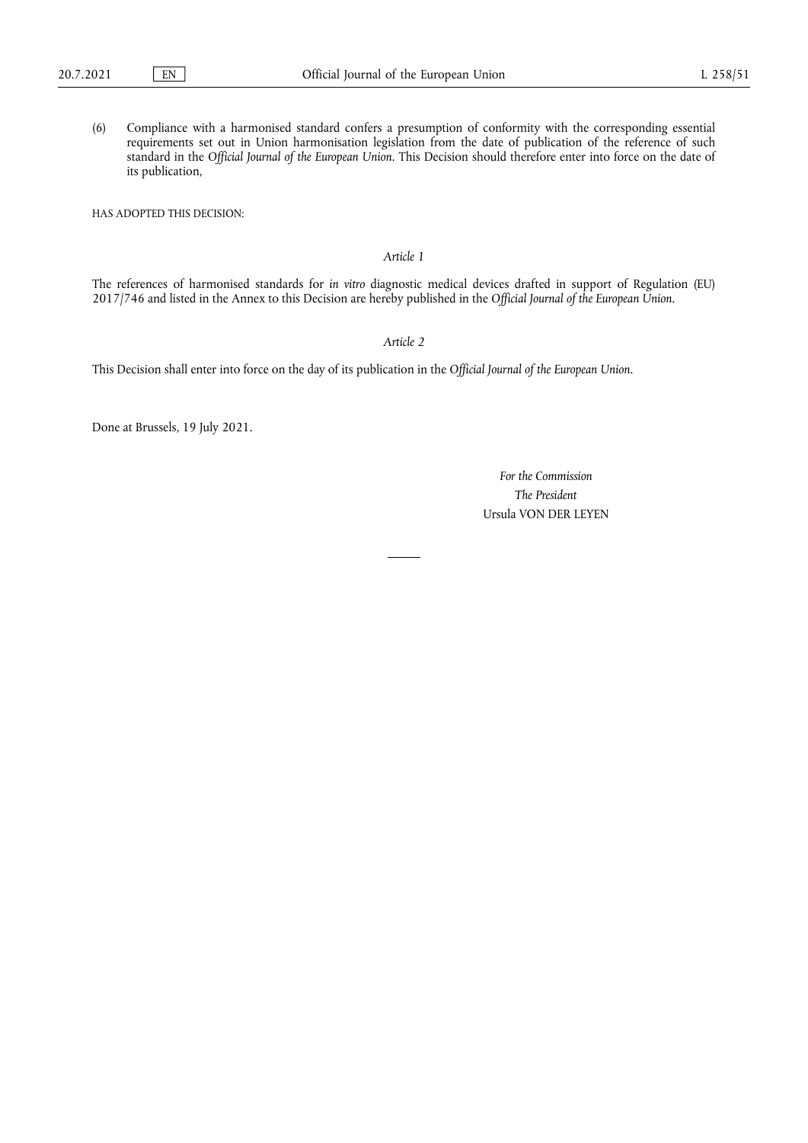(6) Compliance with a harmonised standard confers a presumption of conformity with the corresponding essential requirements set out in Union harmonisation legislation from the date of publication of the reference of such standard in the *Official Journal of the European Union*. This Decision should therefore enter into force on the date of its publication,

HAS ADOPTED THIS DECISION:

### *Article 1*

The references of harmonised standards for *in vitro* diagnostic medical devices drafted in support of Regulation (EU) 2017/746 and listed in the Annex to this Decision are hereby published in the *Official Journal of the European Union*.

## *Article 2*

This Decision shall enter into force on the day of its publication in the *Official Journal of the European Union*.

Done at Brussels, 19 July 2021.

*For the Commission The President* Ursula VON DER LEYEN